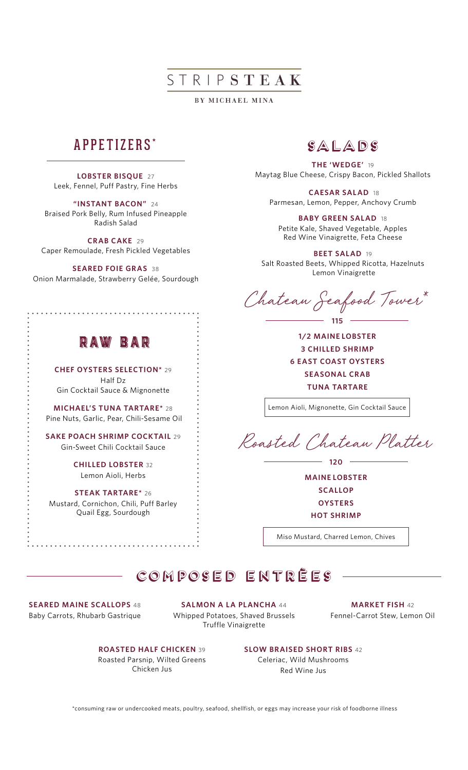# STRIPSTEAK

BY MICHAEL MINA

## APPETIZERS **\***

**LOBSTER BISQUE** 27 Leek, Fennel, Puff Pastry, Fine Herbs

**"INSTANT BACON"** 24 Braised Pork Belly, Rum Infused Pineapple Radish Salad

**CRAB CAKE** 29 Caper Remoulade, Fresh Pickled Vegetables

**SEARED FOIE GRAS** 38 Onion Marmalade, Strawberry Gelée, Sourdough

## RAW BAR

**CHEF OYSTERS SELECTION\*** 29 Half Dz Gin Cocktail Sauce & Mignonette

**MICHAEL'S TUNA TARTARE\*** 28 Pine Nuts, Garlic, Pear, Chili-Sesame Oil

**SAKE POACH SHRIMP COCKTAIL** 29 Gin-Sweet Chili Cocktail Sauce

> **CHILLED LOBSTER** 32 Lemon Aioli, Herbs

**STEAK TARTARE\*** 26 Mustard, Cornichon, Chili, Puff Barley Quail Egg, Sourdough

### Salads

**THE 'WEDGE'** 19 Maytag Blue Cheese, Crispy Bacon, Pickled Shallots

 **CAESAR SALAD** 18 Parmesan, Lemon, Pepper, Anchovy Crumb

**BABY GREEN SALAD** 18 Petite Kale, Shaved Vegetable, Apples Red Wine Vinaigrette, Feta Cheese

**BEET SALAD** 19 Salt Roasted Beets, Whipped Ricotta, Hazelnuts Lemon Vinaigrette

Chateau Seafood Tower\* **115**

**1/2 MAINE LOBSTER 3 CHILLED SHRIMP 6 EAST COAST OYSTERS SEASONAL CRAB TUNA TARTARE**

Lemon Aioli, Mignonette, Gin Cocktail Sauce

Roasted Chateau Platter

**120**

**MAINE LOBSTER SCALLOP OYSTERS HOT SHRIMP**

Miso Mustard, Charred Lemon, Chives

# COMPOSED ENTRÈES

**SEARED MAINE SCALLOPS** 48 Baby Carrots, Rhubarb Gastrique

**SALMON A LA PLANCHA** 44 Whipped Potatoes, Shaved Brussels Truffle Vinaigrette

**MARKET FISH** 42 Fennel-Carrot Stew, Lemon Oil

**ROASTED HALF CHICKEN** 39 Roasted Parsnip, Wilted Greens Chicken Jus

**SLOW BRAISED SHORT RIBS** 42 Celeriac, Wild Mushrooms

Red Wine Jus

\*consuming raw or undercooked meats, poultry, seafood, shellfish, or eggs may increase your risk of foodborne illness